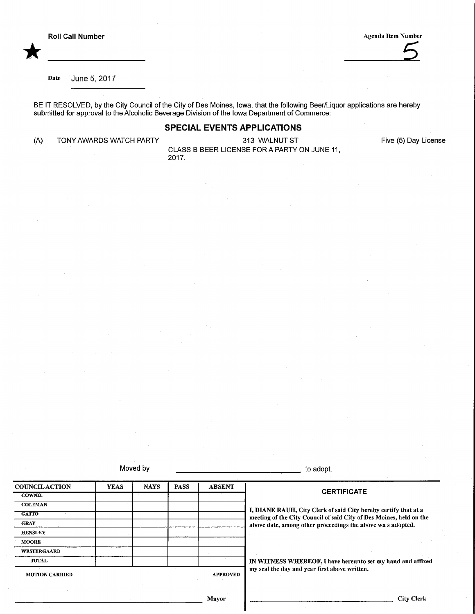\*



Date June 5, 2017

BE IT RESOLVED, by the City Council of the City of Des Moines, Iowa, that the following Beer/Liquor applications are hereby submitted for approval to the Alcoholic Beverage Division of the Iowa Department of Commerce:

#### SPECIAL EVENTS APPLICATIONS

(A) TONY AWARDS WATCH PARTY

313 WALNUT ST CLASS B BEER LICENSE FOR A PARTY ON JUNE 11, 2017.

Five (5) Day License

Moved by the state of the state of the state of the state of the state of the state of the state of the state of the state of the state of the state of the state of the state of the state of the state of the state of the s

**COUNCILACTION COWNIE COLEMAN** GATIO **GRAY HENSLEY** MOORE **WESTERGAARD** TOTAL YEAS | NAYS | PASS | ABSENT MOTION CARRIED APPROVED **CERTIFICATE** I, DIANE RAUH, City Clerk of said City hereby certify that at a meeting of the City Council of said City of Des Moines, held on the above date, among other proceedings the above wa s adopted. IN WITNESS WHEREOF, I have hereunto set my hand and affixed my seal the day and year first above written.

Mayor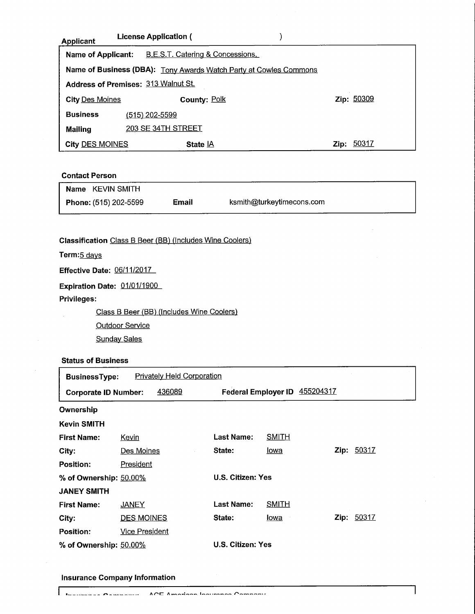| <b>Applicant</b>                                                  | <b>License Application (</b>     |               |  |  |
|-------------------------------------------------------------------|----------------------------------|---------------|--|--|
| <b>Name of Applicant:</b>                                         | B.E.S.T. Catering & Concessions. |               |  |  |
| Name of Business (DBA): Tony Awards Watch Party at Cowles Commons |                                  |               |  |  |
| <b>Address of Premises: 313 Walnut St.</b>                        |                                  |               |  |  |
| <b>City Des Moines</b>                                            | <b>County: Polk</b>              | Zip: 50309    |  |  |
| <b>Business</b>                                                   | (515) 202-5599                   |               |  |  |
| <b>Mailing</b>                                                    | 203 SE 34TH STREET               |               |  |  |
| <b>City DES MOINES</b>                                            | State <b>IA</b>                  | 50317<br>Zip: |  |  |

#### Contact Person

| Name KEVIN SMITH      |       |                           |  |
|-----------------------|-------|---------------------------|--|
| Phone: (515) 202-5599 | Email | ksmith@turkeytimecons.com |  |

Ē,

1

Classification Class B Beer (BB) (Includes Wine Coolers)

Term: 5 days

Effective Date: 06/11/2017

Expiration Date: 01/01/1900

Privileges:

Class B Beer (BB) (Includes Wine Coolers)

**Outdoor Service** 

**Sunday Sales** 

## Status of Business

| <b>BusinessType:</b>        |                       | <b>Privately Held Corporation</b> |                            |                  |      |       |
|-----------------------------|-----------------------|-----------------------------------|----------------------------|------------------|------|-------|
| <b>Corporate ID Number:</b> |                       | 436089                            | <b>Federal Employer ID</b> | <u>455204317</u> |      |       |
| Ownership                   |                       |                                   |                            |                  |      |       |
| <b>Kevin SMITH</b>          |                       |                                   |                            |                  |      |       |
| <b>First Name:</b>          | Kevin                 |                                   | Last Name:                 | <u>SMITH</u>     |      |       |
| City:                       | <u>Des Moines</u>     |                                   | State:                     | lowa             | Zip: | 50317 |
| Position:                   | President             |                                   |                            |                  |      |       |
| % of Ownership: $50.00\%$   |                       | U.S. Citizen: Yes                 |                            |                  |      |       |
| <b>JANEY SMITH</b>          |                       |                                   |                            |                  |      |       |
| <b>First Name:</b>          | <b>JANEY</b>          |                                   | Last Name:                 | <b>SMITH</b>     |      |       |
| City:                       | <b>DES MOINES</b>     |                                   | State:                     | lowa             | Zip: | 50317 |
| <b>Position:</b>            | <b>Vice President</b> |                                   |                            |                  |      |       |
| % of Ownership: $50.00\%$   |                       |                                   | U.S. Citizen: Yes          |                  |      |       |

### Insurance Company Information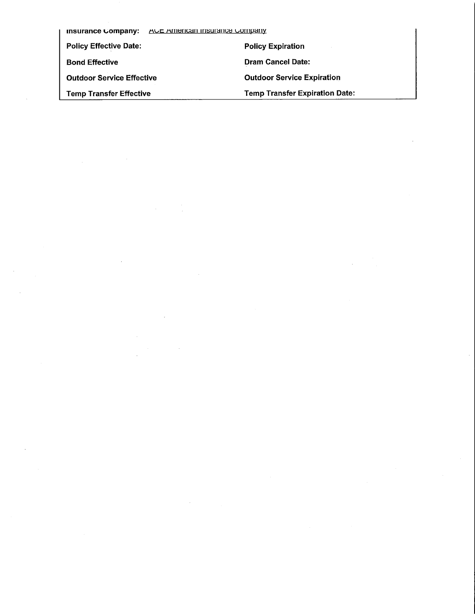| AUL AMERICAN INSURANCE COMPANY<br>insurance Company: |                                       |  |  |
|------------------------------------------------------|---------------------------------------|--|--|
| <b>Policy Effective Date:</b>                        | <b>Policy Expiration</b>              |  |  |
| <b>Bond Effective</b>                                | <b>Dram Cancel Date:</b>              |  |  |
| <b>Outdoor Service Effective</b>                     | <b>Outdoor Service Expiration</b>     |  |  |
| <b>Temp Transfer Effective</b>                       | <b>Temp Transfer Expiration Date:</b> |  |  |

 $\label{eq:2.1} \frac{1}{\sqrt{2\pi}}\int_{0}^{\infty}\frac{1}{\sqrt{2\pi}}\left(\frac{1}{\sqrt{2\pi}}\right)^{2\pi}\frac{1}{\sqrt{2\pi}}\int_{0}^{\infty}\frac{1}{\sqrt{2\pi}}\left(\frac{1}{\sqrt{2\pi}}\right)^{2\pi}\frac{1}{\sqrt{2\pi}}\frac{1}{\sqrt{2\pi}}\int_{0}^{\infty}\frac{1}{\sqrt{2\pi}}\frac{1}{\sqrt{2\pi}}\frac{1}{\sqrt{2\pi}}\frac{1}{\sqrt{2\pi}}\frac{1}{\sqrt{2\pi}}\frac{1}{\sqrt{2\$ 

 $\label{eq:2.1} \frac{1}{\sqrt{2}}\sum_{i=1}^n\frac{1}{\sqrt{2}}\sum_{i=1}^n\frac{1}{\sqrt{2}}\sum_{i=1}^n\frac{1}{\sqrt{2}}\sum_{i=1}^n\frac{1}{\sqrt{2}}\sum_{i=1}^n\frac{1}{\sqrt{2}}\sum_{i=1}^n\frac{1}{\sqrt{2}}\sum_{i=1}^n\frac{1}{\sqrt{2}}\sum_{i=1}^n\frac{1}{\sqrt{2}}\sum_{i=1}^n\frac{1}{\sqrt{2}}\sum_{i=1}^n\frac{1}{\sqrt{2}}\sum_{i=1}^n\frac$ 

 $\label{eq:2.1} \mathcal{L}(\mathcal{L}^{\text{max}}_{\mathcal{L}}(\mathcal{L}^{\text{max}}_{\mathcal{L}})) \leq \mathcal{L}(\mathcal{L}^{\text{max}}_{\mathcal{L}}(\mathcal{L}^{\text{max}}_{\mathcal{L}})) \leq \mathcal{L}(\mathcal{L}^{\text{max}}_{\mathcal{L}}(\mathcal{L}^{\text{max}}_{\mathcal{L}}))$ 

 $\mathcal{L}^{\text{max}}_{\text{max}}$  .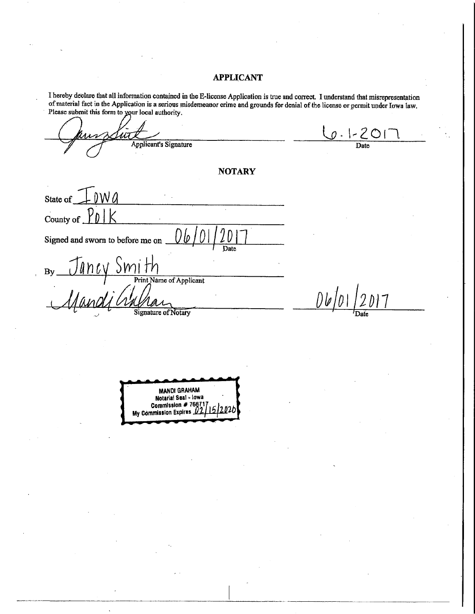#### **APPLICANT**

I hereby declare that all information contained in the E-license Application is true and correct. I understand that misrepresentation of material fact in the Application is a serious misdemeanor crime and grounds for denial of the license or permit under Iowa law. Please submit this form to your local authority.

 $0.1 - 201$ **Applicant's Signature NOTARY** State of County of Signed and sworn to before me on  $\frac{J$  ancy Smith Date  $By$ <sub>—</sub> 06/01  $017$ **Signature of Notary MANDI GRAHAM** Notarial Seal - lowa Commission # 7667 My Commission Expires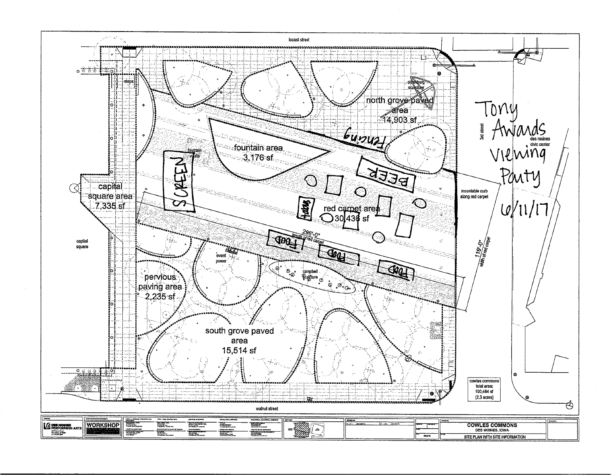